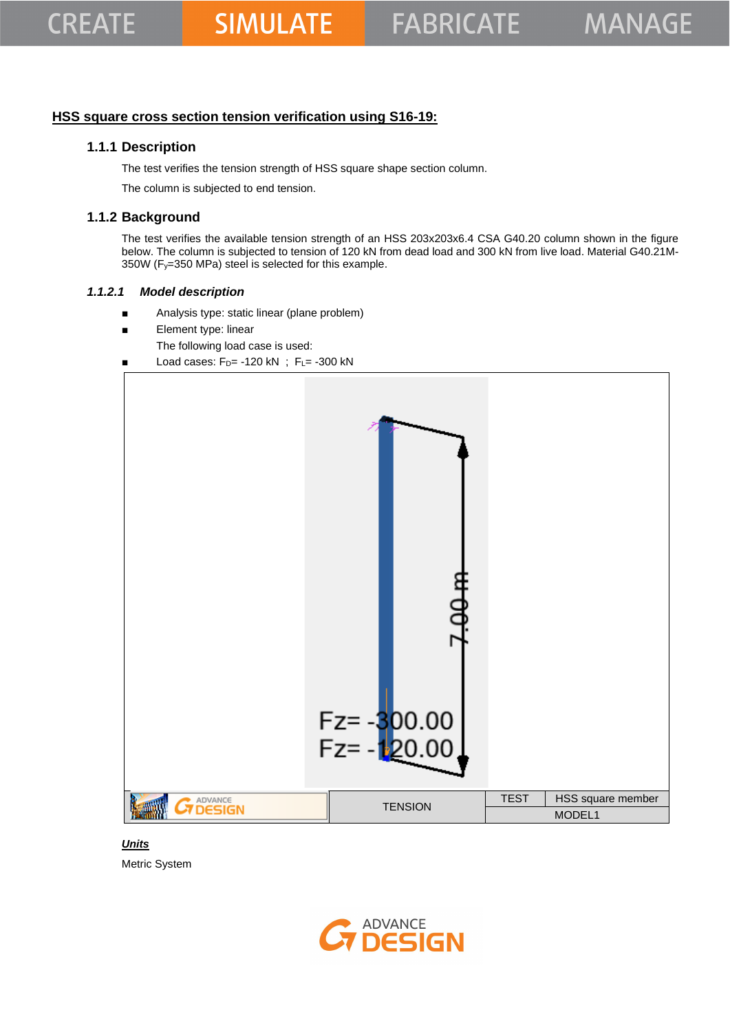### **HSS square cross section tension verification using S16-19:**

### **1.1.1 Description**

The test verifies the tension strength of HSS square shape section column.

The column is subjected to end tension.

### **1.1.2 Background**

The test verifies the available tension strength of an HSS 203x203x6.4 CSA G40.20 column shown in the figure below. The column is subjected to tension of 120 kN from dead load and 300 kN from live load. Material G40.21M-350W (Fy=350 MPa) steel is selected for this example.

#### *1.1.2.1 Model description*

- Analysis type: static linear (plane problem)
- Element type: linear
	- The following load case is used:
- Load cases:  $F_D$ = -120 kN ;  $F_L$ = -300 kN



#### *Units*

Metric System

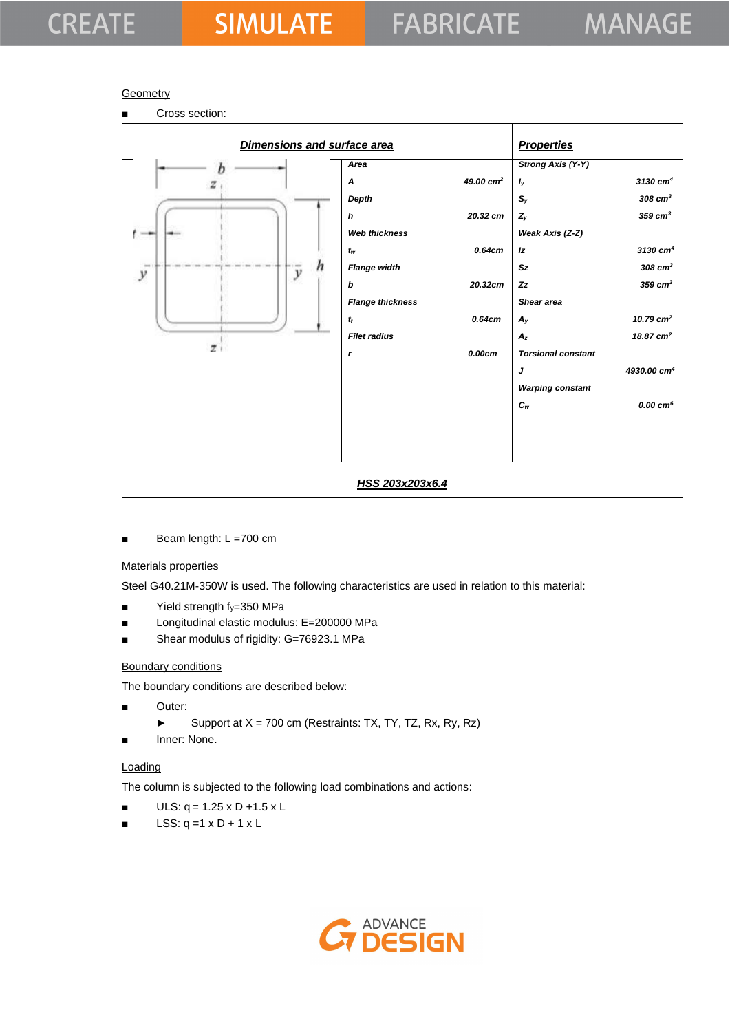# **CREATE**

#### **Geometry**



Beam length: L =700 cm

#### Materials properties

Steel G40.21M-350W is used. The following characteristics are used in relation to this material:

- Yield strength fy=350 MPa
- Longitudinal elastic modulus: E=200000 MPa
- Shear modulus of rigidity: G=76923.1 MPa

#### Boundary conditions

The boundary conditions are described below:

- Outer:
	- ► Support at X = 700 cm (Restraints: TX, TY, TZ, Rx, Ry, Rz)
- Inner: None.

#### **Loading**

The column is subjected to the following load combinations and actions:

- $ULS: q = 1.25 \times D + 1.5 \times L$
- LSS:  $q = 1 \times D + 1 \times L$

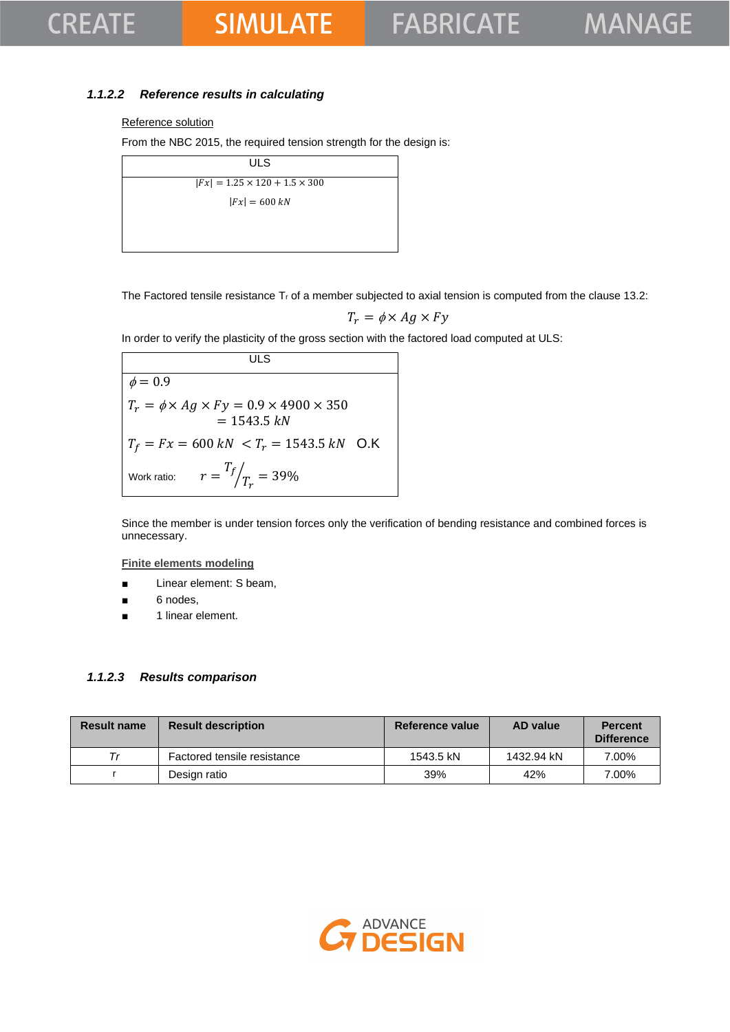## **CREATE**

## **SIMULATE**

### *1.1.2.2 Reference results in calculating*

#### Reference solution

From the NBC 2015, the required tension strength for the design is:

| <b>ULS</b>                                |  |
|-------------------------------------------|--|
| $ Fx  = 1.25 \times 120 + 1.5 \times 300$ |  |
| $ Fx  = 600 kN$                           |  |
|                                           |  |
|                                           |  |

The Factored tensile resistance  $T_r$  of a member subjected to axial tension is computed from the clause 13.2:

$$
T_r = \phi \times Ag \times Fy
$$

In order to verify the plasticity of the gross section with the factored load computed at ULS:

**ULS**  $\phi = 0.\overline{9}$  $T_r = \phi \times Ag \times Fy = 0.9 \times 4900 \times 350$  $= 1543.5 kN$  $T_f = Fx = 600 \, kN \, < T_r = 1543.5 \, kN \,$  O.K Work ratio:  $T_f$  $\sqrt{T_r} = 39\%$ 

Since the member is under tension forces only the verification of bending resistance and combined forces is unnecessary.

**Finite elements modeling**

- Linear element: S beam,
- 6 nodes,
- 1 linear element.

#### *1.1.2.3 Results comparison*

| <b>Result name</b> | <b>Result description</b>   | Reference value | <b>AD</b> value | <b>Percent</b><br><b>Difference</b> |
|--------------------|-----------------------------|-----------------|-----------------|-------------------------------------|
| $\tau_r$           | Factored tensile resistance | 1543.5 kN       | 1432.94 kN      | 7.00%                               |
|                    | Design ratio                | 39%             | 42%             | 7.00%                               |